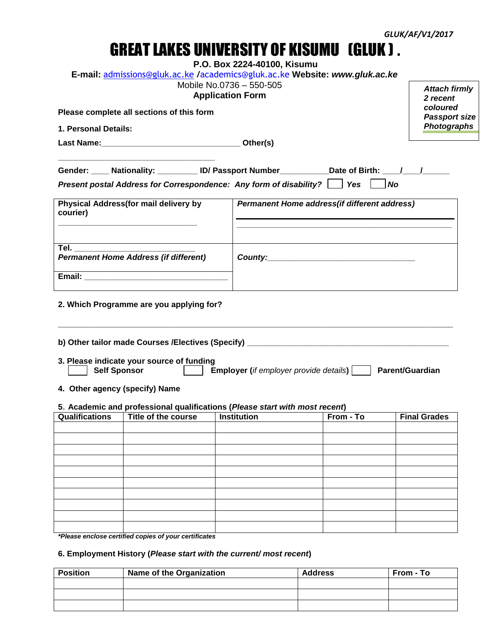# GREAT LAKES UNIVERSITY OF KISUMU (GLUK ) **.**

|  |  |  |  |  | P.O. Box 2224-40100, Kisumu |
|--|--|--|--|--|-----------------------------|
|--|--|--|--|--|-----------------------------|

|  | E-mail: admissions@gluk.ac.ke /academics@gluk.ac.ke Website: www.gluk.ac.ke |  |  |  |  |
|--|-----------------------------------------------------------------------------|--|--|--|--|
|--|-----------------------------------------------------------------------------|--|--|--|--|

|                                           |                                                                             | Mobile No.0736 - 550-505<br><b>Application Form</b> | <b>E-mail:</b> admissions@gluk.ac.ke /academics@gluk.ac.ke Website: www.gluk.ac.ke                | <b>Attach firmly</b><br>2 recent |
|-------------------------------------------|-----------------------------------------------------------------------------|-----------------------------------------------------|---------------------------------------------------------------------------------------------------|----------------------------------|
| Please complete all sections of this form | coloured<br><b>Passport size</b>                                            |                                                     |                                                                                                   |                                  |
| 1. Personal Details:                      |                                                                             |                                                     |                                                                                                   | <b>Photographs</b>               |
|                                           |                                                                             |                                                     |                                                                                                   |                                  |
|                                           |                                                                             |                                                     | Gender: ____ Nationality: _________ ID/ Passport Number___________Date of Birth: ____/____/______ |                                  |
|                                           |                                                                             |                                                     | Present postal Address for Correspondence: Any form of disability?   Yes   No                     |                                  |
| courier)                                  | Physical Address(for mail delivery by                                       |                                                     | Permanent Home address (if different address)                                                     |                                  |
| Tel. __________________________           |                                                                             |                                                     |                                                                                                   |                                  |
|                                           | <b>Permanent Home Address (if different)</b>                                |                                                     |                                                                                                   |                                  |
|                                           |                                                                             |                                                     |                                                                                                   |                                  |
|                                           | 2. Which Programme are you applying for?                                    |                                                     |                                                                                                   |                                  |
|                                           |                                                                             |                                                     |                                                                                                   |                                  |
| <b>Self Sponsor</b>                       | 3. Please indicate your source of funding                                   |                                                     | <b>Employer</b> (if employer provide details)     Parent/Guardian                                 |                                  |
| 4. Other agency (specify) Name            |                                                                             |                                                     |                                                                                                   |                                  |
|                                           | 5. Academic and professional qualifications (Please start with most recent) |                                                     |                                                                                                   |                                  |
| <b>Qualifications</b>                     | Title of the course                                                         | <b>Institution</b>                                  | From - To                                                                                         | <b>Final Grades</b>              |
|                                           |                                                                             |                                                     |                                                                                                   |                                  |
|                                           |                                                                             |                                                     |                                                                                                   |                                  |
|                                           |                                                                             |                                                     |                                                                                                   |                                  |
|                                           |                                                                             |                                                     |                                                                                                   |                                  |
|                                           |                                                                             |                                                     |                                                                                                   |                                  |
|                                           |                                                                             |                                                     |                                                                                                   |                                  |
|                                           |                                                                             |                                                     |                                                                                                   |                                  |
|                                           |                                                                             |                                                     |                                                                                                   |                                  |

*\*Please enclose certified copies of your certificates*

## **6. Employment History (***Please start with the current/ most recent***)**

| <b>Position</b> | Name of the Organization | <b>Address</b> | From - To |
|-----------------|--------------------------|----------------|-----------|
|                 |                          |                |           |
|                 |                          |                |           |
|                 |                          |                |           |